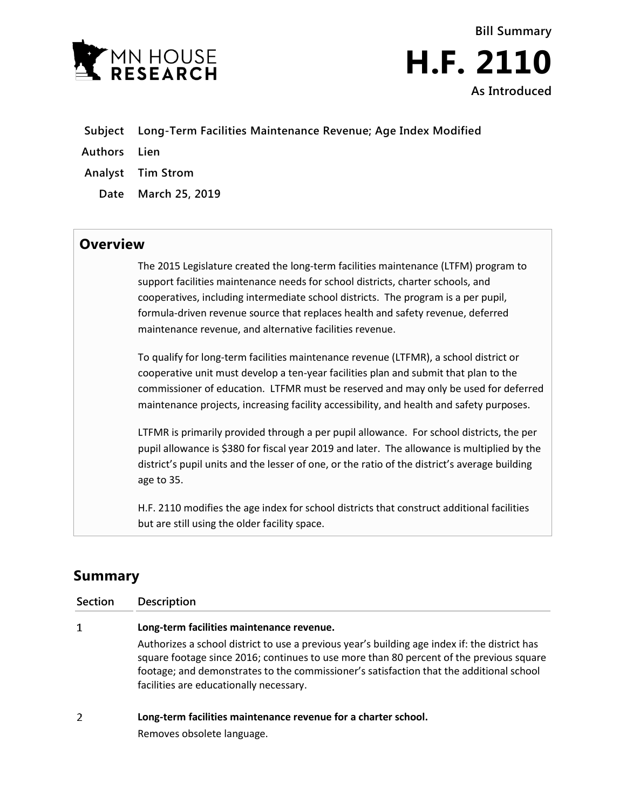



- **Subject Long-Term Facilities Maintenance Revenue; Age Index Modified**
- **Authors Lien**
- **Analyst Tim Strom**
	- **Date March 25, 2019**

## **Overview**

The 2015 Legislature created the long-term facilities maintenance (LTFM) program to support facilities maintenance needs for school districts, charter schools, and cooperatives, including intermediate school districts. The program is a per pupil, formula-driven revenue source that replaces health and safety revenue, deferred maintenance revenue, and alternative facilities revenue.

To qualify for long-term facilities maintenance revenue (LTFMR), a school district or cooperative unit must develop a ten-year facilities plan and submit that plan to the commissioner of education. LTFMR must be reserved and may only be used for deferred maintenance projects, increasing facility accessibility, and health and safety purposes.

LTFMR is primarily provided through a per pupil allowance. For school districts, the per pupil allowance is \$380 for fiscal year 2019 and later. The allowance is multiplied by the district's pupil units and the lesser of one, or the ratio of the district's average building age to 35.

H.F. 2110 modifies the age index for school districts that construct additional facilities but are still using the older facility space.

## **Summary**

| <b>Section</b> | <b>Description</b>                                                                                                                                                                                                                                                                                                             |
|----------------|--------------------------------------------------------------------------------------------------------------------------------------------------------------------------------------------------------------------------------------------------------------------------------------------------------------------------------|
| 1              | Long-term facilities maintenance revenue.                                                                                                                                                                                                                                                                                      |
|                | Authorizes a school district to use a previous year's building age index if: the district has<br>square footage since 2016; continues to use more than 80 percent of the previous square<br>footage; and demonstrates to the commissioner's satisfaction that the additional school<br>facilities are educationally necessary. |
| 2              | Long-term facilities maintenance revenue for a charter school.                                                                                                                                                                                                                                                                 |
|                | Removes obsolete language.                                                                                                                                                                                                                                                                                                     |